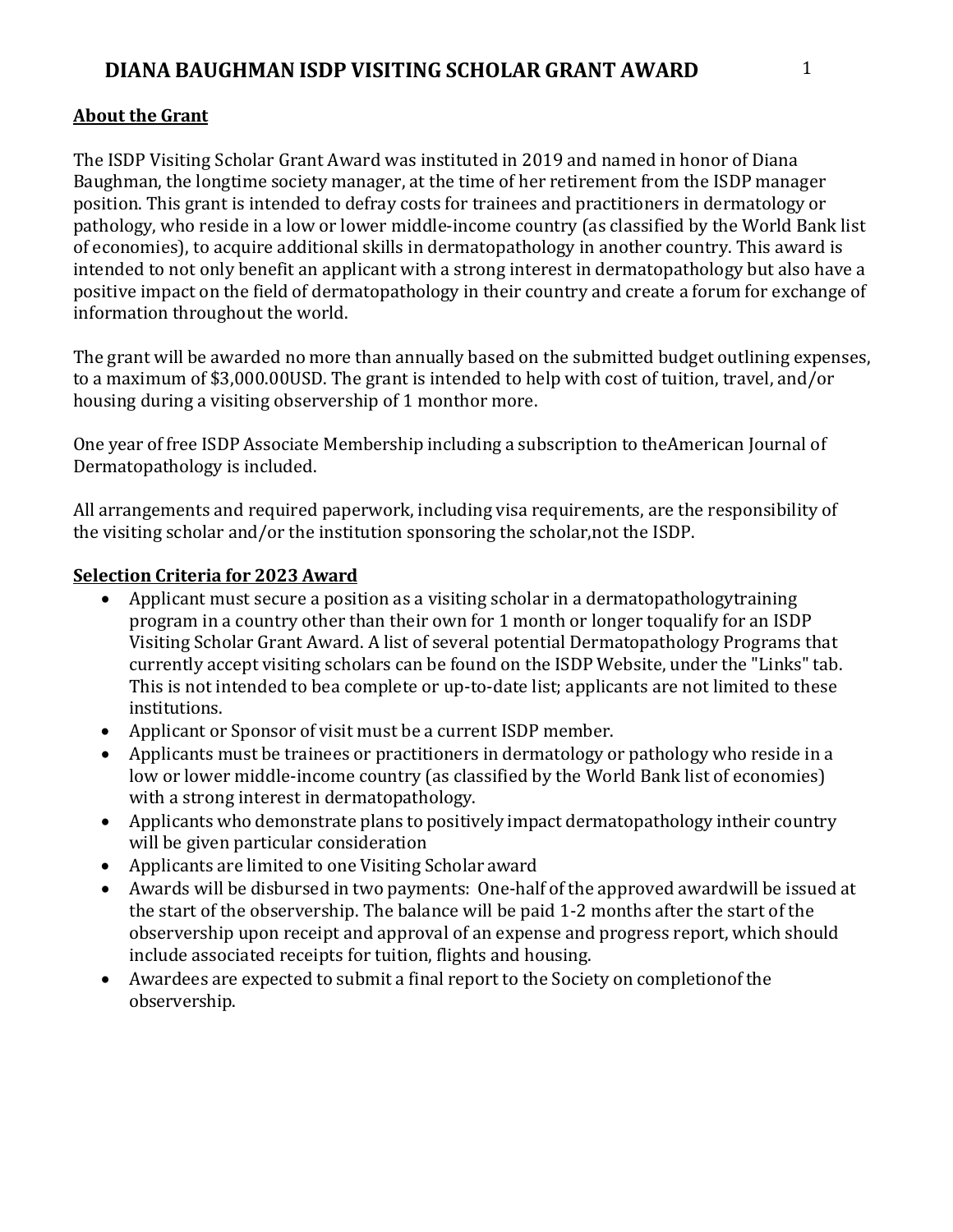# **About the Grant**

The ISDP Visiting Scholar Grant Award was instituted in 2019 and named in honor of Diana Baughman, the longtime society manager, at the time of her retirement from the ISDP manager position. This grant is intended to defray costs for trainees and practitioners in dermatology or pathology, who reside in a low or lower middle-income country (as classified by the World Bank list of economies), to acquire additional skills in dermatopathology in another country. This award is intended to not only benefit an applicant with a strong interest in dermatopathology but also have a positive impact on the field of dermatopathology in their country and create a forum for exchange of information throughout the world.

The grant will be awarded no more than annually based on the submitted budget outlining expenses, to a maximum of \$3,000.00USD. The grant is intended to help with cost of tuition, travel, and/or housing during a visiting observership of 1 monthor more.

One year of free ISDP Associate Membership including a subscription to theAmerican Journal of Dermatopathology is included.

All arrangements and required paperwork, including visa requirements, are the responsibility of the visiting scholar and/or the institution sponsoring the scholar,not the ISDP.

## **Selection Criteria for 2023 Award**

- Applicant must secure a position as a visiting scholar in a dermatopathologytraining program in a country other than their own for 1 month or longer toqualify for an ISDP Visiting Scholar Grant Award. A list of several potential Dermatopathology Programs that currently accept visiting scholars can be found on the ISDP Website, under the "Links" tab. This is not intended to bea complete or up-to-date list; applicants are not limited to these institutions.
- Applicant or Sponsor of visit must be a current ISDP member.
- Applicants must be trainees or practitioners in dermatology or pathology who reside in a low or lower middle-income country (as classified by the World Bank list of economies) with a strong interest in dermatopathology.
- Applicants who demonstrate plans to positively impact dermatopathology intheir country will be given particular consideration
- Applicants are limited to one Visiting Scholar award
- Awards will be disbursed in two payments: One-half of the approved awardwill be issued at the start of the observership. The balance will be paid 1-2 months after the start of the observership upon receipt and approval of an expense and progress report, which should include associated receipts for tuition, flights and housing.
- Awardees are expected to submit a final report to the Society on completionof the observership.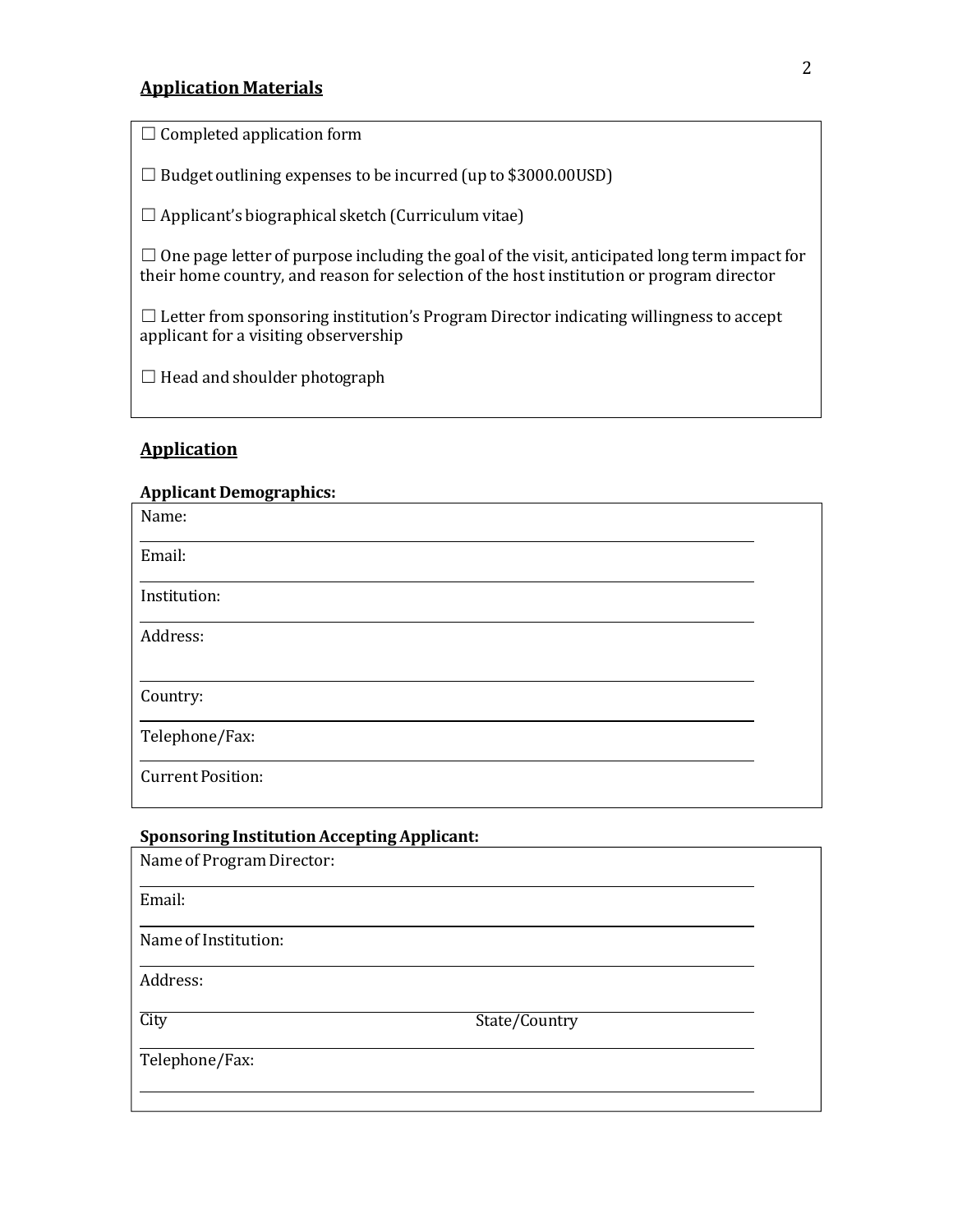## **Application Materials**

 $\Box$  Completed application form

 $\Box$  Budget outlining expenses to be incurred (up to \$3000.00USD)

 $\Box$  Applicant's biographical sketch (Curriculum vitae)

 $\Box$  One page letter of purpose including the goal of the visit, anticipated long term impact for their home country, and reason for selection of the host institution or program director

 $\Box$  Letter from sponsoring institution's Program Director indicating willingness to accept applicant for a visiting observership

 $\Box$  Head and shoulder photograph

#### **Application**

#### **Applicant Demographics:**

| Name:                    |  |
|--------------------------|--|
| Email:                   |  |
| Institution:             |  |
| Address:                 |  |
|                          |  |
| Country:                 |  |
| Telephone/Fax:           |  |
| <b>Current Position:</b> |  |

#### **Sponsoring Institution Accepting Applicant:**

| Name of Program Director: |               |  |
|---------------------------|---------------|--|
| Email:                    |               |  |
| Name of Institution:      |               |  |
| Address:                  |               |  |
| City                      | State/Country |  |
| Telephone/Fax:            |               |  |
|                           |               |  |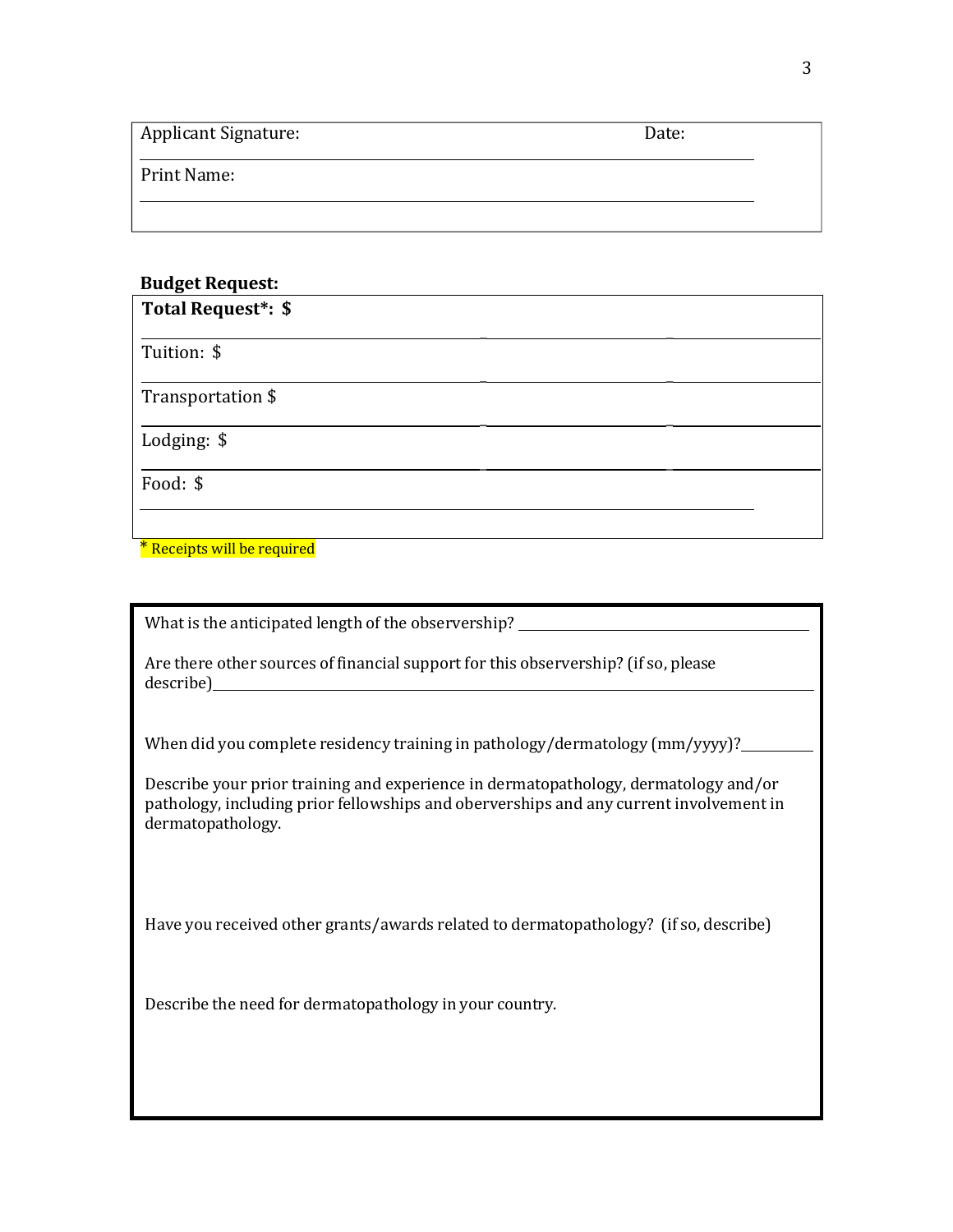| <b>Applicant Signature:</b> | Date: |
|-----------------------------|-------|
| Print Name:                 |       |
|                             |       |

### **Budget Request:**

| Total Request*: \$ |  |
|--------------------|--|
| Tuition: \$        |  |
| Transportation \$  |  |
| Lodging: \$        |  |
| Food: \$           |  |
|                    |  |

\* Receipts will be required

What is the anticipated length of the observership? \_\_\_\_\_\_\_\_\_\_\_\_\_\_\_\_\_\_\_\_\_\_\_\_\_\_\_\_

Are there other sources of financial support for this observership? (if so, please describe)

When did you complete residency training in pathology/dermatology (mm/yyyy)?

Describe your prior training and experience in dermatopathology, dermatology and/or pathology, including prior fellowships and oberverships and any current involvement in dermatopathology.

Have you received other grants/awards related to dermatopathology? (if so, describe)

Describe the need for dermatopathology in your country.